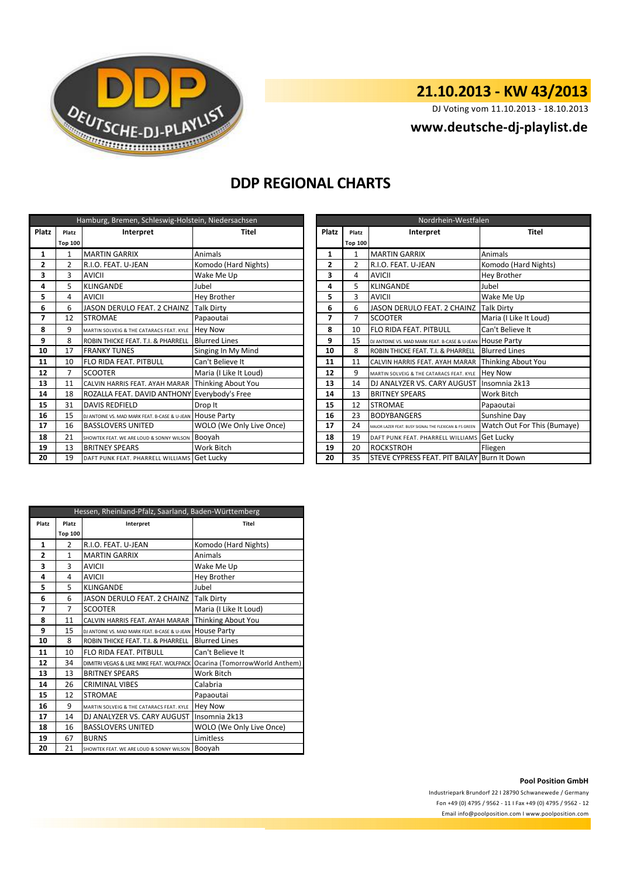

## **21.10.2013 - KW 43/2013**

DJ Voting vom 11.10.2013 - 18.10.2013

### **<www.deutsche-dj-playlist.de>**

## **DDP REGIONAL CHARTS**

| Hamburg, Bremen, Schleswig-Holstein, Niedersachsen |                |                                                 |                          |    | Nordrhein-Westfalen |                                                           |                             |  |
|----------------------------------------------------|----------------|-------------------------------------------------|--------------------------|----|---------------------|-----------------------------------------------------------|-----------------------------|--|
| Platz                                              | Platz          | Interpret                                       | <b>Platz</b><br>Titel    |    | Platz               | Interpret                                                 | <b>Titel</b>                |  |
|                                                    | <b>Top 100</b> |                                                 |                          |    | <b>Top 100</b>      |                                                           |                             |  |
| 1                                                  | 1              | <b>MARTIN GARRIX</b>                            | Animals                  | 1  | 1                   | <b>MARTIN GARRIX</b>                                      | Animals                     |  |
| 2                                                  | 2              | R.I.O. FEAT. U-JEAN                             | Komodo (Hard Nights)     | 2  | $\overline{2}$      | R.I.O. FEAT. U-JEAN                                       | Komodo (Hard Nights)        |  |
| 3                                                  | 3              | <b>AVICII</b>                                   | Wake Me Up               | 3  | 4                   | <b>AVICII</b>                                             | <b>Hey Brother</b>          |  |
| 4                                                  | 5              | <b>KLINGANDE</b>                                | Jubel                    | 4  | 5                   | <b>KLINGANDE</b>                                          | Jubel                       |  |
| 5                                                  | 4              | <b>AVICII</b>                                   | Hey Brother              | 5  | 3                   | <b>AVICII</b>                                             | Wake Me Up                  |  |
| 6                                                  | 6              | JASON DERULO FEAT. 2 CHAINZ                     | <b>Talk Dirty</b>        | 6  | 6                   | JASON DERULO FEAT. 2 CHAINZ                               | <b>Talk Dirty</b>           |  |
| 7                                                  | 12             | <b>STROMAE</b>                                  | Papaoutai                | 7  | $\overline{7}$      | <b>SCOOTER</b>                                            | Maria (I Like It Loud)      |  |
| 8                                                  | 9              | MARTIN SOLVEIG & THE CATARACS FEAT. KYLE        | <b>Hey Now</b>           | 8  | 10                  | FLO RIDA FEAT. PITBULL                                    | Can't Believe It            |  |
| 9                                                  | 8              | ROBIN THICKE FEAT. T.I. & PHARRELL              | <b>Blurred Lines</b>     | 9  | 15                  | DJ ANTOINE VS. MAD MARK FEAT. B-CASE & U-JEAN HOUSE Party |                             |  |
| 10                                                 | 17             | <b>FRANKY TUNES</b>                             | Singing In My Mind       | 10 | 8                   | ROBIN THICKE FEAT. T.I. & PHARRELL                        | <b>Blurred Lines</b>        |  |
| 11                                                 | 10             | FLO RIDA FEAT. PITBULL                          | Can't Believe It         | 11 | 11                  | CALVIN HARRIS FEAT. AYAH MARAR                            | Thinking About You          |  |
| 12                                                 |                | <b>SCOOTER</b>                                  | Maria (I Like It Loud)   | 12 | 9                   | MARTIN SOLVEIG & THE CATARACS FEAT. KYLE                  | <b>Hey Now</b>              |  |
| 13                                                 | 11             | CALVIN HARRIS FEAT. AYAH MARAR                  | Thinking About You       | 13 | 14                  | DJ ANALYZER VS. CARY AUGUST                               | Insomnia 2k13               |  |
| 14                                                 | 18             | ROZALLA FEAT. DAVID ANTHONY Everybody's Free    |                          | 14 | 13                  | <b>BRITNEY SPEARS</b>                                     | Work Bitch                  |  |
| 15                                                 | 31             | <b>DAVIS REDFIELD</b>                           | Drop It                  | 15 | 12                  | <b>STROMAE</b>                                            | Papaoutai                   |  |
| 16                                                 | 15             | DJ ANTOINE VS. MAD MARK FEAT. B-CASE & U-JEAN   | <b>House Party</b>       | 16 | 23                  | <b>BODYBANGERS</b>                                        | Sunshine Day                |  |
| 17                                                 | 16             | <b>BASSLOVERS UNITED</b>                        | WOLO (We Only Live Once) | 17 | 24                  | MAJOR LAZER FEAT. BUSY SIGNAL THE FLEXICAN & FS GREEN     | Watch Out For This (Bumaye) |  |
| 18                                                 | 21             | SHOWTEK FEAT. WE ARE LOUD & SONNY WILSON BOOYAh |                          | 18 | 19                  | DAFT PUNK FEAT. PHARRELL WILLIAMS                         | <b>Get Lucky</b>            |  |
| 19                                                 | 13             | <b>BRITNEY SPEARS</b>                           | Work Bitch               | 19 | 20                  | <b>ROCKSTROH</b>                                          | Fliegen                     |  |
| 20                                                 | 19             | DAFT PUNK FEAT. PHARRELL WILLIAMS Get Lucky     |                          | 20 | 35                  | STEVE CYPRESS FEAT. PIT BAILAY Burn It Down               |                             |  |

| Nordrhein-Westfalen |                |                                                       |                             |  |  |
|---------------------|----------------|-------------------------------------------------------|-----------------------------|--|--|
| Platz               | Platz          | Interpret                                             | <b>Titel</b>                |  |  |
|                     | <b>Top 100</b> |                                                       |                             |  |  |
| $\mathbf{1}$        | $\mathbf{1}$   | <b>MARTIN GARRIX</b>                                  | Animals                     |  |  |
| 2                   | $\mathfrak{p}$ | R.I.O. FEAT. U-JEAN                                   | Komodo (Hard Nights)        |  |  |
| 3                   | 4              | AVICII                                                | <b>Hey Brother</b>          |  |  |
| 4                   | 5              | <b>KLINGANDE</b>                                      | Jubel                       |  |  |
| 5                   | 3              | <b>AVICII</b>                                         | Wake Me Up                  |  |  |
| 6                   | 6              | JASON DERULO FEAT. 2 CHAINZ                           | <b>Talk Dirty</b>           |  |  |
| 7                   | 7              | <b>SCOOTER</b>                                        | Maria (I Like It Loud)      |  |  |
| 8                   | 10             | <b>FLO RIDA FEAT, PITBULL</b>                         | Can't Believe It            |  |  |
| 9                   | 15             | DJ ANTOINE VS. MAD MARK FEAT. B-CASE & U-JEAN         | <b>House Party</b>          |  |  |
| 10                  | 8              | ROBIN THICKE FEAT. T.I. & PHARRELL                    | <b>Blurred Lines</b>        |  |  |
| 11                  | 11             | CALVIN HARRIS FEAT, AYAH MARAR                        | Thinking About You          |  |  |
| 12                  | 9              | MARTIN SOLVEIG & THE CATARACS FEAT. KYLE              | <b>Hey Now</b>              |  |  |
| 13                  | 14             | DJ ANALYZER VS. CARY AUGUST                           | Insomnia 2k13               |  |  |
| 14                  | 13             | <b>BRITNEY SPEARS</b>                                 | Work Bitch                  |  |  |
| 15                  | 12             | <b>STROMAE</b>                                        | Papaoutai                   |  |  |
| 16                  | 23             | <b>BODYBANGERS</b>                                    | Sunshine Day                |  |  |
| 17                  | 24             | MAJOR LAZER FEAT, BUSY SIGNAL THE FLEXICAN & FS GREEN | Watch Out For This (Bumaye) |  |  |
| 18                  | 19             | DAFT PUNK FEAT. PHARRELL WILLIAMS                     | Get Lucky                   |  |  |
| 19                  | 20             | <b>ROCKSTROH</b>                                      | Fliegen                     |  |  |
| 20                  | 35             | STEVE CYPRESS FEAT. PIT BAILAY Burn It Down           |                             |  |  |

| Hessen, Rheinland-Pfalz, Saarland, Baden-Württemberg |                |                                               |                                |  |  |
|------------------------------------------------------|----------------|-----------------------------------------------|--------------------------------|--|--|
| Platz                                                | Platz          | Interpret                                     | <b>Titel</b>                   |  |  |
|                                                      | <b>Top 100</b> |                                               |                                |  |  |
| 1                                                    | $\overline{2}$ | R.I.O. FEAT. U-JEAN                           | Komodo (Hard Nights)           |  |  |
| 2                                                    | $\mathbf{1}$   | <b>MARTIN GARRIX</b>                          | Animals                        |  |  |
| 3                                                    | 3              | AVICII                                        | Wake Me Up                     |  |  |
| 4                                                    | 4              | <b>AVICII</b>                                 | <b>Hey Brother</b>             |  |  |
| 5                                                    | 5              | <b>KLINGANDE</b>                              | Jubel                          |  |  |
| 6                                                    | 6              | JASON DERULO FEAT. 2 CHAINZ                   | <b>Talk Dirty</b>              |  |  |
| 7                                                    | $\overline{7}$ | <b>SCOOTER</b>                                | Maria (I Like It Loud)         |  |  |
| 8                                                    | 11             | CALVIN HARRIS FEAT. AYAH MARAR                | Thinking About You             |  |  |
| 9                                                    | 15             | DJ ANTOINE VS. MAD MARK FEAT. B-CASE & U-JEAN | <b>House Party</b>             |  |  |
| 10                                                   | 8              | ROBIN THICKE FEAT. T.I. & PHARRELL            | <b>Blurred Lines</b>           |  |  |
| 11                                                   | 10             | <b>FLO RIDA FEAT, PITBULL</b>                 | Can't Believe It               |  |  |
| 12                                                   | 34             | DIMITRI VEGAS & LIKE MIKE FEAT. WOLFPACK      | Ocarina (TomorrowWorld Anthem) |  |  |
| 13                                                   | 13             | <b>BRITNEY SPEARS</b>                         | <b>Work Bitch</b>              |  |  |
| 14                                                   | 26             | <b>CRIMINAL VIBES</b>                         | Calabria                       |  |  |
| 15                                                   | 12             | <b>STROMAE</b>                                | Papaoutai                      |  |  |
| 16                                                   | 9              | MARTIN SOLVEIG & THE CATARACS FEAT. KYLE      | <b>Hey Now</b>                 |  |  |
| 17                                                   | 14             | DJ ANALYZER VS. CARY AUGUST                   | Insomnia 2k13                  |  |  |
| 18                                                   | 16             | <b>BASSLOVERS UNITED</b>                      | WOLO (We Only Live Once)       |  |  |
| 19                                                   | 67             | <b>BURNS</b>                                  | Limitless                      |  |  |
| 20                                                   | 21             | SHOWTEK FEAT. WE ARE LOUD & SONNY WILSON      | Booyah                         |  |  |

### **Pool Position GmbH**

Industriepark Brundorf 22 I 28790 Schwanewede / Germany Fon +49 (0) 4795 / 9562 - 11 I Fax +49 (0) 4795 / 9562 - 12 <Email info@poolposition.com I www.poolposition.com>